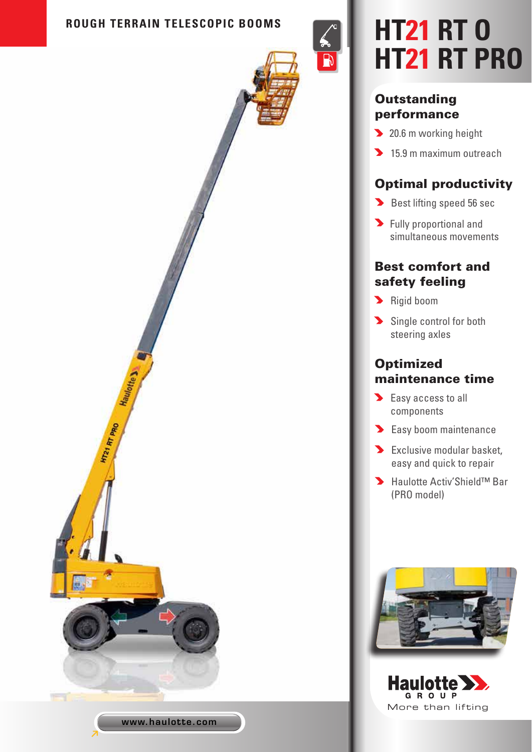#### **ROUGH TERRAIN TELESCOPIC BOOMS**



# **HT21 RT O HT21 RT PRO**

#### **Outstanding** performance

 $\mathsf{R}$ 

- 20.6 m working height
- 15.9 m maximum outreach

## Optimal productivity

- Best lifting speed 56 sec
- **S** Fully proportional and simultaneous movements

### Best comfort and safety feeling

- Rigid boom
- Single control for both steering axles

## **Optimized** maintenance time

- Easy access to all components
- **Easy boom maintenance**
- **Exclusive modular basket,** easy and quick to repair
- Haulotte Activ'Shield™ Bar (PRO model)